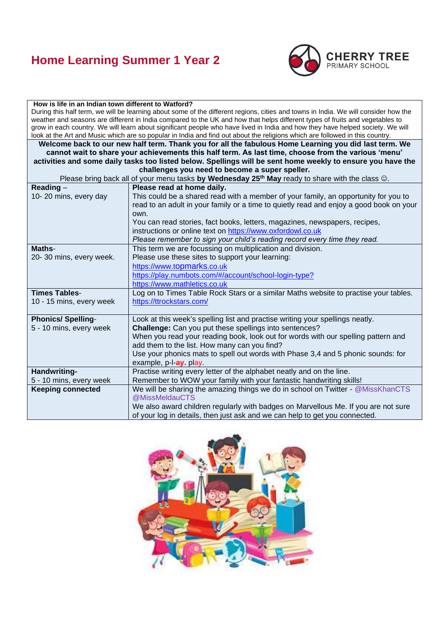# **Home Learning Summer 1 Year 2**



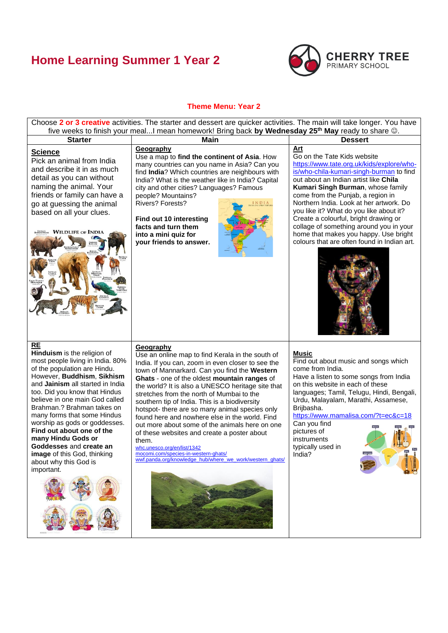# **Home Learning Summer 1 Year 2**



### **Theme Menu: Year 2**

Choose **2 or 3 creative** activities. The starter and dessert are quicker activities. The main will take longer. You have five weeks to finish your meal...I mean homework! Bring back **by Wednesday 25th May** ready to share ☺. **Starter Main Dessert Geography Art Science** Use a map to **find the continent of Asia**. How Go on the Tate Kids website Pick an animal from India [https://www.tate.org.uk/kids/explore/who](https://www.tate.org.uk/kids/explore/who-is/who-chila-kumari-singh-burman)many countries can you name in Asia? Can you and describe it in as much [is/who-chila-kumari-singh-burman](https://www.tate.org.uk/kids/explore/who-is/who-chila-kumari-singh-burman) to find find **India**? Which countries are neighbours with detail as you can without India? What is the weather like in India? Capital out about an Indian artist like **Chila**  naming the animal. Your city and other cities? Languages? Famous **Kumari Singh Burman**, whose family friends or family can have a come from the Punjab, a region in people? Mountains? Northern India. Look at her artwork. Do go at guessing the animal Rivers? Forests? you like it? What do you like about it? based on all your clues. Create a colourful, bright drawing or **Find out 10 interesting facts and turn them**  collage of something around you in your **WILDLIFE OF INDIA into a mini quiz for**  home that makes you happy. Use bright colours that are often found in Indian art. **your friends to answer. RE Geography Hinduism** is the religion of **Music** Use an online map to find Kerala in the south of most people living in India. 80% Find out about music and songs which India. If you can, zoom in even closer to see the of the population are Hindu. come from India. town of Mannarkard. Can you find the **Western**  However, **Buddhism**, **Sikhism** Have a listen to some songs from India **Ghats** - one of the oldest **mountain ranges** of and **Jainism** all started in India on this website in each of these the world? It is also a UNESCO heritage site that too. Did you know that Hindus languages; Tamil, Telugu, Hindi, Bengali, stretches from the north of Mumbai to the believe in one main God called Urdu, Malayalam, Marathi, Assamese, southern tip of India. This is a biodiversity Brahman.? Brahman takes on Brijbasha. hotspot- there are so many animal species only many forms that some Hindus <https://www.mamalisa.com/?t=ec&c=18> found here and nowhere else in the world. Find worship as gods or goddesses. Can you find out more about some of the animals here on one **Find out about one of the**  pictures of of these websites and create a poster about **many Hindu Gods or**  instruments them. **Goddesses** and **create an**  typically used in [whc.unesco.org/en/list/1342](http://whc.unesco.org/en/list/1342) **image** of this God, thinking [mocomi.com/species-in-western-ghats/](https://mocomi.com/species-in-western-ghats/) India?[wwf.panda.org/knowledge\\_hub/where\\_we\\_work/western\\_ghats/](https://wwf.panda.org/knowledge_hub/where_we_work/western_ghats/) about why this God is important.